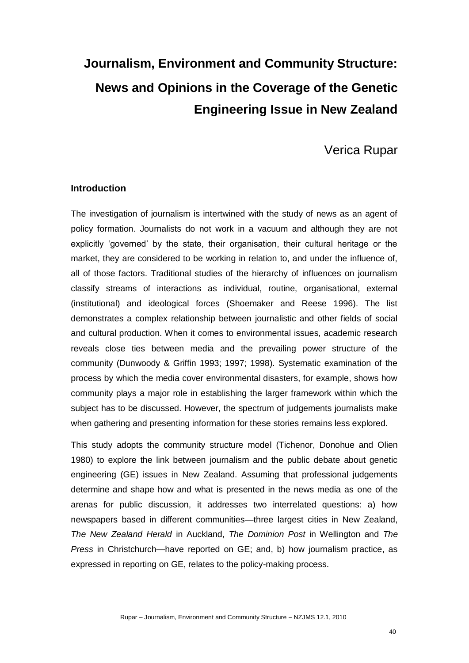# **Journalism, Environment and Community Structure: News and Opinions in the Coverage of the Genetic Engineering Issue in New Zealand**

# Verica Rupar

# **Introduction**

The investigation of journalism is intertwined with the study of news as an agent of policy formation. Journalists do not work in a vacuum and although they are not explicitly 'governed' by the state, their organisation, their cultural heritage or the market, they are considered to be working in relation to, and under the influence of, all of those factors. Traditional studies of the hierarchy of influences on journalism classify streams of interactions as individual, routine, organisational, external (institutional) and ideological forces (Shoemaker and Reese 1996). The list demonstrates a complex relationship between journalistic and other fields of social and cultural production. When it comes to environmental issues, academic research reveals close ties between media and the prevailing power structure of the community (Dunwoody & Griffin 1993; 1997; 1998). Systematic examination of the process by which the media cover environmental disasters, for example, shows how community plays a major role in establishing the larger framework within which the subject has to be discussed. However, the spectrum of judgements journalists make when gathering and presenting information for these stories remains less explored.

This study adopts the community structure model (Tichenor, Donohue and Olien 1980) to explore the link between journalism and the public debate about genetic engineering (GE) issues in New Zealand. Assuming that professional judgements determine and shape how and what is presented in the news media as one of the arenas for public discussion, it addresses two interrelated questions: a) how newspapers based in different communities—three largest cities in New Zealand, *The New Zealand Herald* in Auckland, *The Dominion Post* in Wellington and *The Press* in Christchurch—have reported on GE; and, b) how journalism practice, as expressed in reporting on GE, relates to the policy-making process.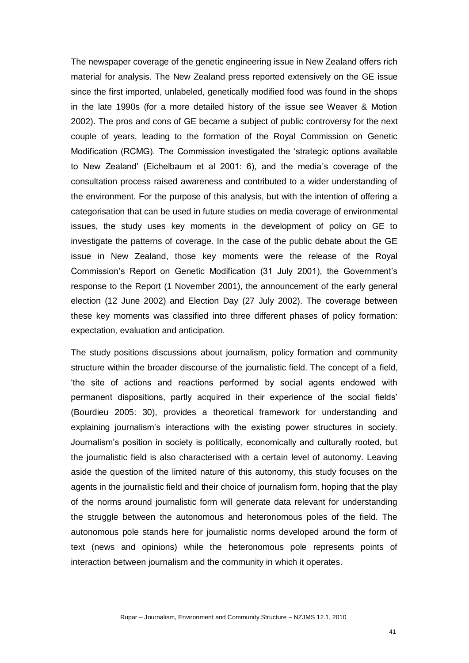The newspaper coverage of the genetic engineering issue in New Zealand offers rich material for analysis. The New Zealand press reported extensively on the GE issue since the first imported, unlabeled, genetically modified food was found in the shops in the late 1990s (for a more detailed history of the issue see Weaver & Motion 2002). The pros and cons of GE became a subject of public controversy for the next couple of years, leading to the formation of the Royal Commission on Genetic Modification (RCMG). The Commission investigated the 'strategic options available to New Zealand' (Eichelbaum et al 2001: 6), and the media's coverage of the consultation process raised awareness and contributed to a wider understanding of the environment. For the purpose of this analysis, but with the intention of offering a categorisation that can be used in future studies on media coverage of environmental issues, the study uses key moments in the development of policy on GE to investigate the patterns of coverage. In the case of the public debate about the GE issue in New Zealand, those key moments were the release of the Royal Commission's Report on Genetic Modification (31 July 2001), the Government's response to the Report (1 November 2001), the announcement of the early general election (12 June 2002) and Election Day (27 July 2002). The coverage between these key moments was classified into three different phases of policy formation: expectation*,* evaluation and anticipation.

The study positions discussions about journalism, policy formation and community structure within the broader discourse of the journalistic field. The concept of a field, the site of actions and reactions performed by social agents endowed with permanent dispositions, partly acquired in their experience of the social fields' (Bourdieu 2005: 30), provides a theoretical framework for understanding and explaining journalism's interactions with the existing power structures in society. Journalism's position in society is politically, economically and culturally rooted, but the journalistic field is also characterised with a certain level of autonomy. Leaving aside the question of the limited nature of this autonomy, this study focuses on the agents in the journalistic field and their choice of journalism form, hoping that the play of the norms around journalistic form will generate data relevant for understanding the struggle between the autonomous and heteronomous poles of the field. The autonomous pole stands here for journalistic norms developed around the form of text (news and opinions) while the heteronomous pole represents points of interaction between journalism and the community in which it operates.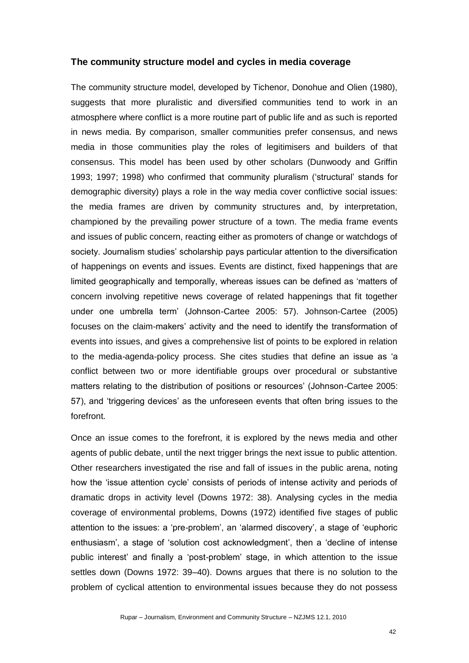#### **The community structure model and cycles in media coverage**

The community structure model, developed by Tichenor, Donohue and Olien (1980), suggests that more pluralistic and diversified communities tend to work in an atmosphere where conflict is a more routine part of public life and as such is reported in news media. By comparison, smaller communities prefer consensus, and news media in those communities play the roles of legitimisers and builders of that consensus. This model has been used by other scholars (Dunwoody and Griffin 1993; 1997; 1998) who confirmed that community pluralism (‗structural' stands for demographic diversity) plays a role in the way media cover conflictive social issues: the media frames are driven by community structures and, by interpretation, championed by the prevailing power structure of a town. The media frame events and issues of public concern, reacting either as promoters of change or watchdogs of society. Journalism studies' scholarship pays particular attention to the diversification of happenings on events and issues. Events are distinct, fixed happenings that are limited geographically and temporally, whereas issues can be defined as 'matters of concern involving repetitive news coverage of related happenings that fit together under one umbrella term' (Johnson-Cartee 2005: 57). Johnson-Cartee (2005) focuses on the claim-makers' activity and the need to identify the transformation of events into issues, and gives a comprehensive list of points to be explored in relation to the media-agenda-policy process. She cites studies that define an issue as 'a conflict between two or more identifiable groups over procedural or substantive matters relating to the distribution of positions or resources' (Johnson-Cartee 2005: 57), and 'triggering devices' as the unforeseen events that often bring issues to the forefront.

Once an issue comes to the forefront, it is explored by the news media and other agents of public debate, until the next trigger brings the next issue to public attention. Other researchers investigated the rise and fall of issues in the public arena, noting how the 'issue attention cycle' consists of periods of intense activity and periods of dramatic drops in activity level (Downs 1972: 38). Analysing cycles in the media coverage of environmental problems, Downs (1972) identified five stages of public attention to the issues: a 'pre-problem', an 'alarmed discovery', a stage of 'euphoric enthusiasm', a stage of 'solution cost acknowledgment', then a 'decline of intense public interest' and finally a 'post-problem' stage, in which attention to the issue settles down (Downs 1972: 39–40). Downs argues that there is no solution to the problem of cyclical attention to environmental issues because they do not possess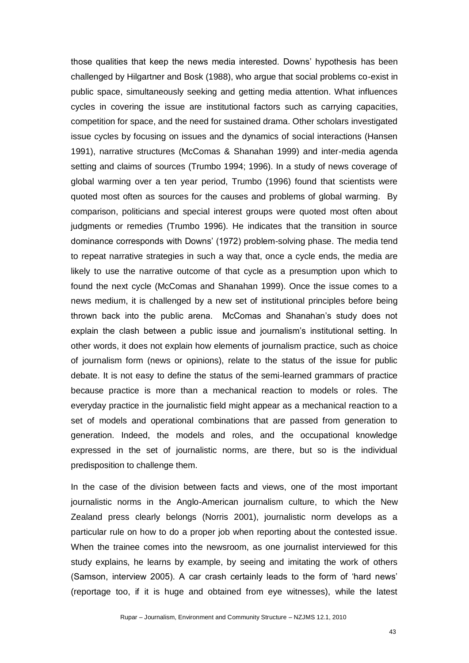those qualities that keep the news media interested. Downs' hypothesis has been challenged by Hilgartner and Bosk (1988), who argue that social problems co-exist in public space, simultaneously seeking and getting media attention. What influences cycles in covering the issue are institutional factors such as carrying capacities, competition for space, and the need for sustained drama. Other scholars investigated issue cycles by focusing on issues and the dynamics of social interactions (Hansen 1991), narrative structures (McComas & Shanahan 1999) and inter-media agenda setting and claims of sources (Trumbo 1994; 1996). In a study of news coverage of global warming over a ten year period, Trumbo (1996) found that scientists were quoted most often as sources for the causes and problems of global warming. By comparison, politicians and special interest groups were quoted most often about judgments or remedies (Trumbo 1996). He indicates that the transition in source dominance corresponds with Downs' (1972) problem-solving phase. The media tend to repeat narrative strategies in such a way that, once a cycle ends, the media are likely to use the narrative outcome of that cycle as a presumption upon which to found the next cycle (McComas and Shanahan 1999). Once the issue comes to a news medium, it is challenged by a new set of institutional principles before being thrown back into the public arena. McComas and Shanahan's study does not explain the clash between a public issue and journalism's institutional setting. In other words, it does not explain how elements of journalism practice, such as choice of journalism form (news or opinions), relate to the status of the issue for public debate. It is not easy to define the status of the semi-learned grammars of practice because practice is more than a mechanical reaction to models or roles. The everyday practice in the journalistic field might appear as a mechanical reaction to a set of models and operational combinations that are passed from generation to generation. Indeed, the models and roles, and the occupational knowledge expressed in the set of journalistic norms, are there, but so is the individual predisposition to challenge them.

In the case of the division between facts and views, one of the most important journalistic norms in the Anglo-American journalism culture, to which the New Zealand press clearly belongs (Norris 2001), journalistic norm develops as a particular rule on how to do a proper job when reporting about the contested issue. When the trainee comes into the newsroom, as one journalist interviewed for this study explains, he learns by example, by seeing and imitating the work of others (Samson, interview 2005). A car crash certainly leads to the form of 'hard news' (reportage too, if it is huge and obtained from eye witnesses), while the latest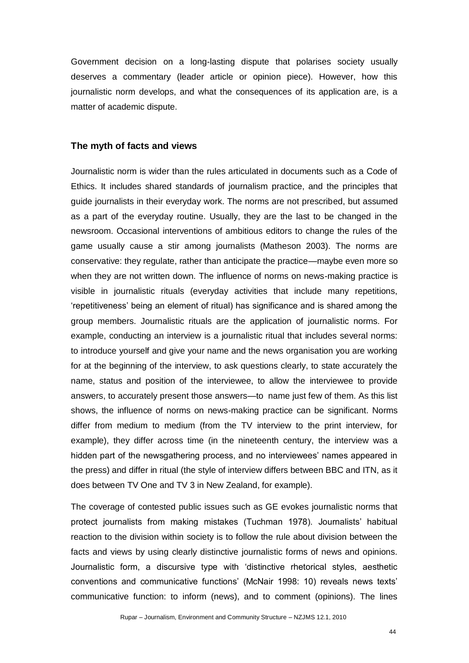Government decision on a long-lasting dispute that polarises society usually deserves a commentary (leader article or opinion piece). However, how this journalistic norm develops, and what the consequences of its application are, is a matter of academic dispute.

#### **The myth of facts and views**

Journalistic norm is wider than the rules articulated in documents such as a Code of Ethics. It includes shared standards of journalism practice, and the principles that guide journalists in their everyday work. The norms are not prescribed, but assumed as a part of the everyday routine. Usually, they are the last to be changed in the newsroom. Occasional interventions of ambitious editors to change the rules of the game usually cause a stir among journalists (Matheson 2003). The norms are conservative: they regulate, rather than anticipate the practice—maybe even more so when they are not written down. The influence of norms on news-making practice is visible in journalistic rituals (everyday activities that include many repetitions, ‗repetitiveness' being an element of ritual) has significance and is shared among the group members. Journalistic rituals are the application of journalistic norms. For example, conducting an interview is a journalistic ritual that includes several norms: to introduce yourself and give your name and the news organisation you are working for at the beginning of the interview, to ask questions clearly, to state accurately the name, status and position of the interviewee, to allow the interviewee to provide answers, to accurately present those answers—to name just few of them. As this list shows, the influence of norms on news-making practice can be significant. Norms differ from medium to medium (from the TV interview to the print interview, for example), they differ across time (in the nineteenth century, the interview was a hidden part of the newsgathering process, and no interviewees' names appeared in the press) and differ in ritual (the style of interview differs between BBC and ITN, as it does between TV One and TV 3 in New Zealand, for example).

The coverage of contested public issues such as GE evokes journalistic norms that protect journalists from making mistakes (Tuchman 1978). Journalists' habitual reaction to the division within society is to follow the rule about division between the facts and views by using clearly distinctive journalistic forms of news and opinions. Journalistic form, a discursive type with 'distinctive rhetorical styles, aesthetic conventions and communicative functions' (McNair 1998: 10) reveals news texts' communicative function: to inform (news), and to comment (opinions). The lines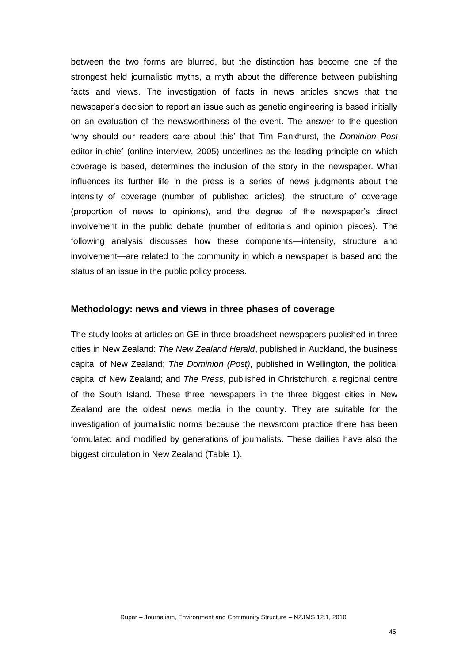between the two forms are blurred, but the distinction has become one of the strongest held journalistic myths, a myth about the difference between publishing facts and views. The investigation of facts in news articles shows that the newspaper's decision to report an issue such as genetic engineering is based initially on an evaluation of the newsworthiness of the event. The answer to the question ‗why should our readers care about this' that Tim Pankhurst, the *Dominion Post* editor-in-chief (online interview, 2005) underlines as the leading principle on which coverage is based, determines the inclusion of the story in the newspaper. What influences its further life in the press is a series of news judgments about the intensity of coverage (number of published articles), the structure of coverage (proportion of news to opinions), and the degree of the newspaper's direct involvement in the public debate (number of editorials and opinion pieces). The following analysis discusses how these components—intensity, structure and involvement—are related to the community in which a newspaper is based and the status of an issue in the public policy process.

#### **Methodology: news and views in three phases of coverage**

The study looks at articles on GE in three broadsheet newspapers published in three cities in New Zealand: *The New Zealand Herald*, published in Auckland, the business capital of New Zealand; *The Dominion (Post)*, published in Wellington, the political capital of New Zealand; and *The Press*, published in Christchurch, a regional centre of the South Island. These three newspapers in the three biggest cities in New Zealand are the oldest news media in the country. They are suitable for the investigation of journalistic norms because the newsroom practice there has been formulated and modified by generations of journalists. These dailies have also the biggest circulation in New Zealand (Table 1).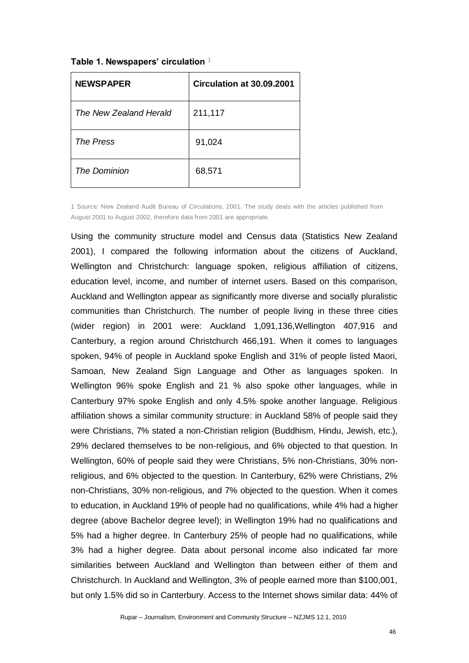**Table 1. Newspapers' circulation** <sup>1</sup>

| <b>NEWSPAPER</b>       | Circulation at 30.09.2001 |
|------------------------|---------------------------|
| The New Zealand Herald | 211,117                   |
| The Press              | 91,024                    |
| The Dominion           | 68,571                    |

1 Source: New Zealand Audit Bureau of Circulations, 2001. The study deals with the articles published from August 2001 to August 2002, therefore data from 2001 are appropriate.

Using the community structure model and Census data (Statistics New Zealand 2001), I compared the following information about the citizens of Auckland, Wellington and Christchurch: language spoken, religious affiliation of citizens, education level, income, and number of internet users. Based on this comparison, Auckland and Wellington appear as significantly more diverse and socially pluralistic communities than Christchurch. The number of people living in these three cities (wider region) in 2001 were: Auckland 1,091,136,Wellington 407,916 and Canterbury, a region around Christchurch 466,191. When it comes to languages spoken, 94% of people in Auckland spoke English and 31% of people listed Maori, Samoan, New Zealand Sign Language and Other as languages spoken. In Wellington 96% spoke English and 21 % also spoke other languages, while in Canterbury 97% spoke English and only 4.5% spoke another language. Religious affiliation shows a similar community structure: in Auckland 58% of people said they were Christians, 7% stated a non-Christian religion (Buddhism, Hindu, Jewish, etc.), 29% declared themselves to be non-religious, and 6% objected to that question. In Wellington, 60% of people said they were Christians, 5% non-Christians, 30% nonreligious, and 6% objected to the question. In Canterbury, 62% were Christians, 2% non-Christians, 30% non-religious, and 7% objected to the question. When it comes to education, in Auckland 19% of people had no qualifications, while 4% had a higher degree (above Bachelor degree level); in Wellington 19% had no qualifications and 5% had a higher degree. In Canterbury 25% of people had no qualifications, while 3% had a higher degree. Data about personal income also indicated far more similarities between Auckland and Wellington than between either of them and Christchurch. In Auckland and Wellington, 3% of people earned more than \$100,001, but only 1.5% did so in Canterbury. Access to the Internet shows similar data: 44% of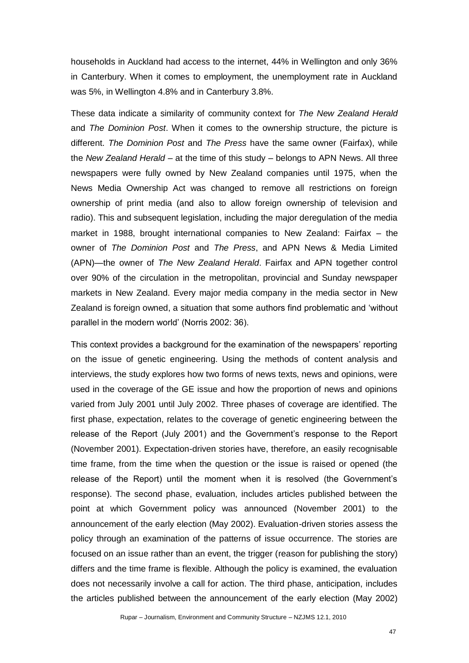households in Auckland had access to the internet, 44% in Wellington and only 36% in Canterbury. When it comes to employment, the unemployment rate in Auckland was 5%, in Wellington 4.8% and in Canterbury 3.8%.

These data indicate a similarity of community context for *The New Zealand Herald* and *The Dominion Post*. When it comes to the ownership structure, the picture is different. *The Dominion Post* and *The Press* have the same owner (Fairfax), while the *New Zealand Herald* – at the time of this study – belongs to APN News. All three newspapers were fully owned by New Zealand companies until 1975, when the News Media Ownership Act was changed to remove all restrictions on foreign ownership of print media (and also to allow foreign ownership of television and radio). This and subsequent legislation, including the major deregulation of the media market in 1988, brought international companies to New Zealand: Fairfax – the owner of *The Dominion Post* and *The Press*, and APN News & Media Limited (APN)—the owner of *The New Zealand Herald*. Fairfax and APN together control over 90% of the circulation in the metropolitan, provincial and Sunday newspaper markets in New Zealand. Every major media company in the media sector in New Zealand is foreign owned, a situation that some authors find problematic and 'without parallel in the modern world' (Norris 2002: 36).

This context provides a background for the examination of the newspapers' reporting on the issue of genetic engineering. Using the methods of content analysis and interviews, the study explores how two forms of news texts, news and opinions, were used in the coverage of the GE issue and how the proportion of news and opinions varied from July 2001 until July 2002. Three phases of coverage are identified. The first phase, expectation, relates to the coverage of genetic engineering between the release of the Report (July 2001) and the Government's response to the Report (November 2001). Expectation-driven stories have, therefore, an easily recognisable time frame, from the time when the question or the issue is raised or opened (the release of the Report) until the moment when it is resolved (the Government's response). The second phase, evaluation, includes articles published between the point at which Government policy was announced (November 2001) to the announcement of the early election (May 2002). Evaluation-driven stories assess the policy through an examination of the patterns of issue occurrence. The stories are focused on an issue rather than an event, the trigger (reason for publishing the story) differs and the time frame is flexible. Although the policy is examined, the evaluation does not necessarily involve a call for action. The third phase, anticipation, includes the articles published between the announcement of the early election (May 2002)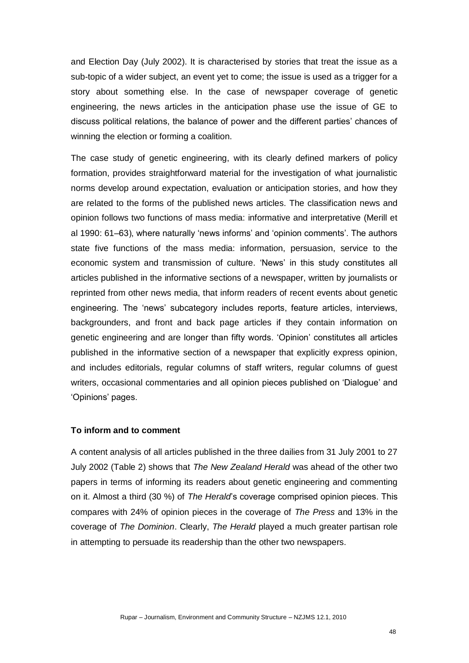and Election Day (July 2002). It is characterised by stories that treat the issue as a sub-topic of a wider subject, an event yet to come; the issue is used as a trigger for a story about something else. In the case of newspaper coverage of genetic engineering, the news articles in the anticipation phase use the issue of GE to discuss political relations, the balance of power and the different parties' chances of winning the election or forming a coalition.

The case study of genetic engineering, with its clearly defined markers of policy formation, provides straightforward material for the investigation of what journalistic norms develop around expectation, evaluation or anticipation stories, and how they are related to the forms of the published news articles. The classification news and opinion follows two functions of mass media: informative and interpretative (Merill et al 1990: 61–63), where naturally 'news informs' and 'opinion comments'. The authors state five functions of the mass media: information, persuasion, service to the economic system and transmission of culture. 'News' in this study constitutes all articles published in the informative sections of a newspaper, written by journalists or reprinted from other news media, that inform readers of recent events about genetic engineering. The 'news' subcategory includes reports, feature articles, interviews, backgrounders, and front and back page articles if they contain information on genetic engineering and are longer than fifty words. 'Opinion' constitutes all articles published in the informative section of a newspaper that explicitly express opinion, and includes editorials, regular columns of staff writers, regular columns of guest writers, occasional commentaries and all opinion pieces published on 'Dialogue' and ‗Opinions' pages.

### **To inform and to comment**

A content analysis of all articles published in the three dailies from 31 July 2001 to 27 July 2002 (Table 2) shows that *The New Zealand Herald* was ahead of the other two papers in terms of informing its readers about genetic engineering and commenting on it. Almost a third (30 %) of *The Herald*'s coverage comprised opinion pieces. This compares with 24% of opinion pieces in the coverage of *The Press* and 13% in the coverage of *The Dominion*. Clearly, *The Herald* played a much greater partisan role in attempting to persuade its readership than the other two newspapers.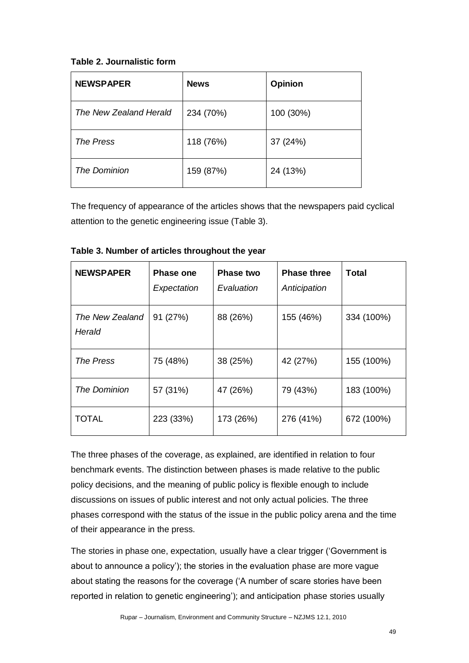# **Table 2. Journalistic form**

| <b>NEWSPAPER</b>       | <b>News</b> | <b>Opinion</b> |
|------------------------|-------------|----------------|
| The New Zealand Herald | 234 (70%)   | 100 (30%)      |
| The Press              | 118 (76%)   | 37 (24%)       |
| The Dominion           | 159 (87%)   | 24 (13%)       |

The frequency of appearance of the articles shows that the newspapers paid cyclical attention to the genetic engineering issue (Table 3).

| <b>NEWSPAPER</b>          | <b>Phase one</b><br>Expectation | Phase two<br>Evaluation | <b>Phase three</b><br>Anticipation | Total      |
|---------------------------|---------------------------------|-------------------------|------------------------------------|------------|
| The New Zealand<br>Herald | 91 (27%)                        | 88 (26%)                | 155 (46%)                          | 334 (100%) |
| <b>The Press</b>          | 75 (48%)                        | 38 (25%)                | 42 (27%)                           | 155 (100%) |
| The Dominion              | 57 (31%)                        | 47 (26%)                | 79 (43%)                           | 183 (100%) |
| <b>TOTAL</b>              | 223 (33%)                       | 173 (26%)               | 276 (41%)                          | 672 (100%) |

**Table 3. Number of articles throughout the year** 

The three phases of the coverage, as explained, are identified in relation to four benchmark events. The distinction between phases is made relative to the public policy decisions, and the meaning of public policy is flexible enough to include discussions on issues of public interest and not only actual policies. The three phases correspond with the status of the issue in the public policy arena and the time of their appearance in the press.

The stories in phase one, expectation*,* usually have a clear trigger (‗Government is about to announce a policy'); the stories in the evaluation phase are more vague about stating the reasons for the coverage ('A number of scare stories have been reported in relation to genetic engineering'); and anticipation phase stories usually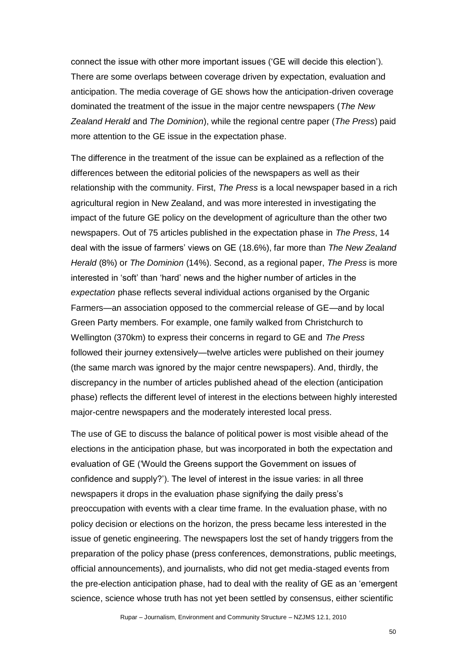connect the issue with other more important issues (‗GE will decide this election'). There are some overlaps between coverage driven by expectation, evaluation and anticipation. The media coverage of GE shows how the anticipation-driven coverage dominated the treatment of the issue in the major centre newspapers (*The New Zealand Herald* and *The Dominion*), while the regional centre paper (*The Press*) paid more attention to the GE issue in the expectation phase.

The difference in the treatment of the issue can be explained as a reflection of the differences between the editorial policies of the newspapers as well as their relationship with the community. First, *The Press* is a local newspaper based in a rich agricultural region in New Zealand, and was more interested in investigating the impact of the future GE policy on the development of agriculture than the other two newspapers. Out of 75 articles published in the expectation phase in *The Press*, 14 deal with the issue of farmers' views on GE (18.6%), far more than *The New Zealand Herald* (8%) or *The Dominion* (14%). Second, as a regional paper, *The Press* is more interested in 'soft' than 'hard' news and the higher number of articles in the *expectation* phase reflects several individual actions organised by the Organic Farmers—an association opposed to the commercial release of GE—and by local Green Party members. For example, one family walked from Christchurch to Wellington (370km) to express their concerns in regard to GE and *The Press* followed their journey extensively—twelve articles were published on their journey (the same march was ignored by the major centre newspapers). And, thirdly, the discrepancy in the number of articles published ahead of the election (anticipation phase) reflects the different level of interest in the elections between highly interested major-centre newspapers and the moderately interested local press.

The use of GE to discuss the balance of political power is most visible ahead of the elections in the anticipation phase*,* but was incorporated in both the expectation and evaluation of GE ('Would the Greens support the Government on issues of confidence and supply?'). The level of interest in the issue varies: in all three newspapers it drops in the evaluation phase signifying the daily press's preoccupation with events with a clear time frame. In the evaluation phase, with no policy decision or elections on the horizon, the press became less interested in the issue of genetic engineering. The newspapers lost the set of handy triggers from the preparation of the policy phase (press conferences, demonstrations, public meetings, official announcements), and journalists, who did not get media-staged events from the pre-election anticipation phase, had to deal with the reality of GE as an 'emergent science, science whose truth has not yet been settled by consensus, either scientific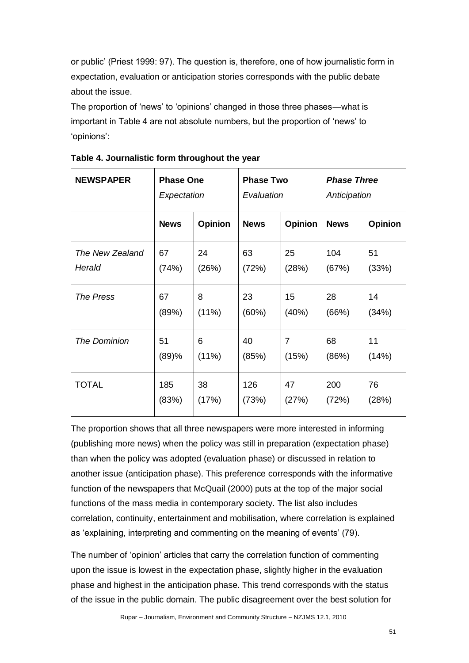or public' (Priest 1999: 97). The question is, therefore, one of how journalistic form in expectation, evaluation or anticipation stories corresponds with the public debate about the issue.

The proportion of 'news' to 'opinions' changed in those three phases—what is important in Table 4 are not absolute numbers, but the proportion of 'news' to ‗opinions':

| <b>NEWSPAPER</b>    | <b>Phase One</b> |          | <b>Phase Two</b> |                | <b>Phase Three</b> |                |
|---------------------|------------------|----------|------------------|----------------|--------------------|----------------|
|                     | Expectation      |          | Evaluation       |                | Anticipation       |                |
|                     | <b>News</b>      | Opinion  | <b>News</b>      | <b>Opinion</b> | <b>News</b>        | <b>Opinion</b> |
| The New Zealand     | 67               | 24       | 63               | 25             | 104                | 51             |
| Herald              | (74%)            | (26%)    | (72%)            | (28%)          | (67%)              | (33%)          |
| <b>The Press</b>    | 67               | 8        | 23               | 15             | 28                 | 14             |
|                     | (89%)            | $(11\%)$ | (60%)            | (40%)          | (66%)              | (34%)          |
| <b>The Dominion</b> | 51               | 6        | 40               | $\overline{7}$ | 68                 | 11             |
|                     | (89)%            | $(11\%)$ | (85%)            | (15%)          | (86%)              | (14%)          |
| <b>TOTAL</b>        | 185              | 38       | 126              | 47             | 200                | 76             |
|                     | (83%)            | (17%)    | (73%)            | (27%)          | (72%)              | (28%)          |

**Table 4. Journalistic form throughout the year**

The proportion shows that all three newspapers were more interested in informing (publishing more news) when the policy was still in preparation (expectation phase) than when the policy was adopted (evaluation phase) or discussed in relation to another issue (anticipation phase). This preference corresponds with the informative function of the newspapers that McQuail (2000) puts at the top of the major social functions of the mass media in contemporary society. The list also includes correlation, continuity, entertainment and mobilisation, where correlation is explained as 'explaining, interpreting and commenting on the meaning of events' (79).

The number of 'opinion' articles that carry the correlation function of commenting upon the issue is lowest in the expectation phase, slightly higher in the evaluation phase and highest in the anticipation phase. This trend corresponds with the status of the issue in the public domain. The public disagreement over the best solution for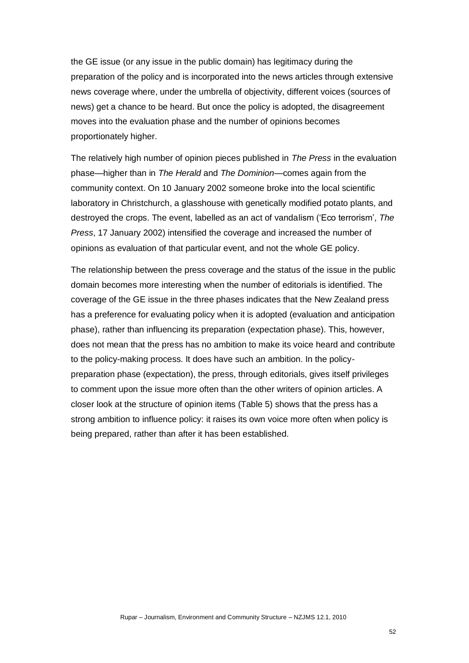the GE issue (or any issue in the public domain) has legitimacy during the preparation of the policy and is incorporated into the news articles through extensive news coverage where, under the umbrella of objectivity, different voices (sources of news) get a chance to be heard. But once the policy is adopted, the disagreement moves into the evaluation phase and the number of opinions becomes proportionately higher.

The relatively high number of opinion pieces published in *The Press* in the evaluation phase—higher than in *The Herald* and *The Dominion*—comes again from the community context. On 10 January 2002 someone broke into the local scientific laboratory in Christchurch, a glasshouse with genetically modified potato plants, and destroyed the crops. The event, labelled as an act of vandalism (‗Eco terrorism', *The Press*, 17 January 2002) intensified the coverage and increased the number of opinions as evaluation of that particular event, and not the whole GE policy.

The relationship between the press coverage and the status of the issue in the public domain becomes more interesting when the number of editorials is identified. The coverage of the GE issue in the three phases indicates that the New Zealand press has a preference for evaluating policy when it is adopted (evaluation and anticipation phase), rather than influencing its preparation (expectation phase). This, however, does not mean that the press has no ambition to make its voice heard and contribute to the policy-making process. It does have such an ambition. In the policypreparation phase (expectation), the press, through editorials, gives itself privileges to comment upon the issue more often than the other writers of opinion articles. A closer look at the structure of opinion items (Table 5) shows that the press has a strong ambition to influence policy: it raises its own voice more often when policy is being prepared, rather than after it has been established.

52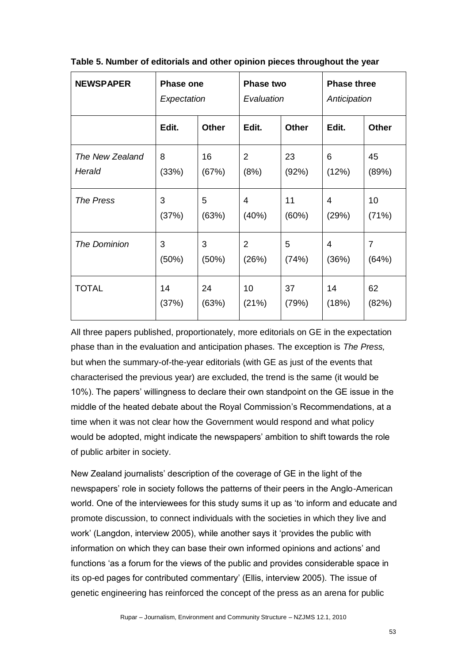| <b>NEWSPAPER</b>    | <b>Phase one</b> |              | <b>Phase two</b> |              | <b>Phase three</b> |                |
|---------------------|------------------|--------------|------------------|--------------|--------------------|----------------|
|                     | Expectation      |              | Evaluation       |              | Anticipation       |                |
|                     | Edit.            | <b>Other</b> | Edit.            | <b>Other</b> | Edit.              | <b>Other</b>   |
| The New Zealand     | 8                | 16           | $\overline{2}$   | 23           | 6                  | 45             |
| Herald              | (33%)            | (67%)        | (8%)             | (92%)        | (12%)              | (89%)          |
| <b>The Press</b>    | 3                | 5            | 4                | 11           | 4                  | 10             |
|                     | (37%)            | (63%)        | (40%)            | (60%)        | (29%)              | (71%)          |
| <b>The Dominion</b> | 3                | 3            | $\overline{2}$   | 5            | 4                  | $\overline{7}$ |
|                     | (50%)            | (50%)        | (26%)            | (74%)        | (36%)              | (64%)          |
| <b>TOTAL</b>        | 14               | 24           | 10               | 37           | 14                 | 62             |
|                     | (37%)            | (63%)        | (21%)            | (79%)        | (18%)              | (82%)          |

**Table 5. Number of editorials and other opinion pieces throughout the year**

All three papers published, proportionately, more editorials on GE in the expectation phase than in the evaluation and anticipation phases. The exception is *The Press,* but when the summary-of-the-year editorials (with GE as just of the events that characterised the previous year) are excluded, the trend is the same (it would be 10%). The papers' willingness to declare their own standpoint on the GE issue in the middle of the heated debate about the Royal Commission's Recommendations, at a time when it was not clear how the Government would respond and what policy would be adopted, might indicate the newspapers' ambition to shift towards the role of public arbiter in society.

New Zealand journalists' description of the coverage of GE in the light of the newspapers' role in society follows the patterns of their peers in the Anglo-American world. One of the interviewees for this study sums it up as 'to inform and educate and promote discussion, to connect individuals with the societies in which they live and work' (Langdon, interview 2005), while another says it 'provides the public with information on which they can base their own informed opinions and actions' and functions 'as a forum for the views of the public and provides considerable space in its op-ed pages for contributed commentary' (Ellis, interview 2005). The issue of genetic engineering has reinforced the concept of the press as an arena for public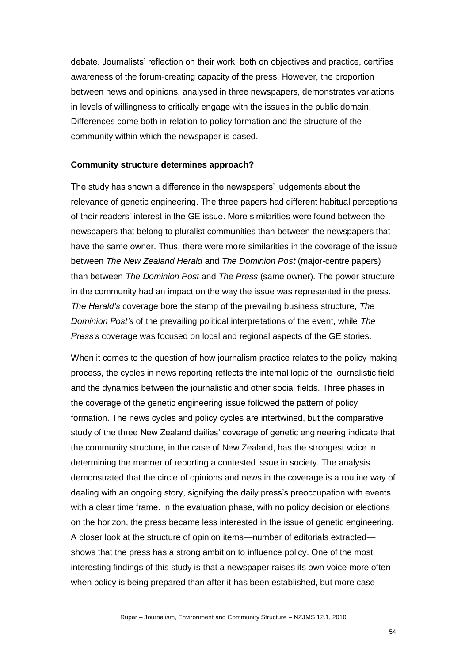debate. Journalists' reflection on their work, both on objectives and practice, certifies awareness of the forum-creating capacity of the press. However, the proportion between news and opinions, analysed in three newspapers, demonstrates variations in levels of willingness to critically engage with the issues in the public domain. Differences come both in relation to policy formation and the structure of the community within which the newspaper is based.

#### **Community structure determines approach?**

The study has shown a difference in the newspapers' judgements about the relevance of genetic engineering. The three papers had different habitual perceptions of their readers' interest in the GE issue. More similarities were found between the newspapers that belong to pluralist communities than between the newspapers that have the same owner. Thus, there were more similarities in the coverage of the issue between *The New Zealand Herald* and *The Dominion Post* (major-centre papers) than between *The Dominion Post* and *The Press* (same owner). The power structure in the community had an impact on the way the issue was represented in the press. *The Herald's* coverage bore the stamp of the prevailing business structure, *The Dominion Post's* of the prevailing political interpretations of the event, while *The Press's* coverage was focused on local and regional aspects of the GE stories.

When it comes to the question of how journalism practice relates to the policy making process, the cycles in news reporting reflects the internal logic of the journalistic field and the dynamics between the journalistic and other social fields. Three phases in the coverage of the genetic engineering issue followed the pattern of policy formation. The news cycles and policy cycles are intertwined, but the comparative study of the three New Zealand dailies' coverage of genetic engineering indicate that the community structure, in the case of New Zealand, has the strongest voice in determining the manner of reporting a contested issue in society. The analysis demonstrated that the circle of opinions and news in the coverage is a routine way of dealing with an ongoing story, signifying the daily press's preoccupation with events with a clear time frame. In the evaluation phase, with no policy decision or elections on the horizon, the press became less interested in the issue of genetic engineering. A closer look at the structure of opinion items—number of editorials extracted shows that the press has a strong ambition to influence policy. One of the most interesting findings of this study is that a newspaper raises its own voice more often when policy is being prepared than after it has been established, but more case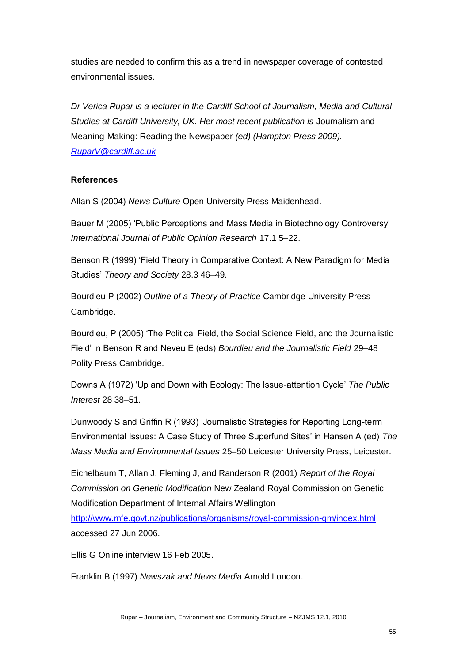studies are needed to confirm this as a trend in newspaper coverage of contested environmental issues.

*Dr Verica Rupar is a lecturer in the Cardiff School of Journalism, Media and Cultural Studies at Cardiff University, UK. Her most recent publication is* Journalism and Meaning-Making: Reading the Newspaper *(ed) (Hampton Press 2009). [RuparV@cardiff.ac.uk](mailto:RuparV@cardiff.ac.uk)*

# **References**

Allan S (2004) *News Culture* Open University Press Maidenhead.

Bauer M (2005) ‗Public Perceptions and Mass Media in Biotechnology Controversy' *International Journal of Public Opinion Research* 17.1 5–22.

Benson R (1999) 'Field Theory in Comparative Context: A New Paradigm for Media Studies' *Theory and Society* 28.3 46–49.

Bourdieu P (2002) *Outline of a Theory of Practice* Cambridge University Press Cambridge.

Bourdieu, P (2005) ‗The Political Field, the Social Science Field, and the Journalistic Field' in Benson R and Neveu E (eds) *Bourdieu and the Journalistic Field* 29–48 Polity Press Cambridge.

Downs A (1972) ‗Up and Down with Ecology: The Issue-attention Cycle' *The Public Interest* 28 38–51.

Dunwoody S and Griffin R (1993) ‗Journalistic Strategies for Reporting Long-term Environmental Issues: A Case Study of Three Superfund Sites' in Hansen A (ed) *The Mass Media and Environmental Issues* 25–50 Leicester University Press, Leicester.

Eichelbaum T, Allan J, Fleming J, and Randerson R (2001) *Report of the Royal Commission on Genetic Modification* New Zealand Royal Commission on Genetic Modification Department of Internal Affairs Wellington

<http://www.mfe.govt.nz/publications/organisms/royal-commission-gm/index.html> accessed 27 Jun 2006.

Ellis G Online interview 16 Feb 2005.

Franklin B (1997) *Newszak and News Media* Arnold London.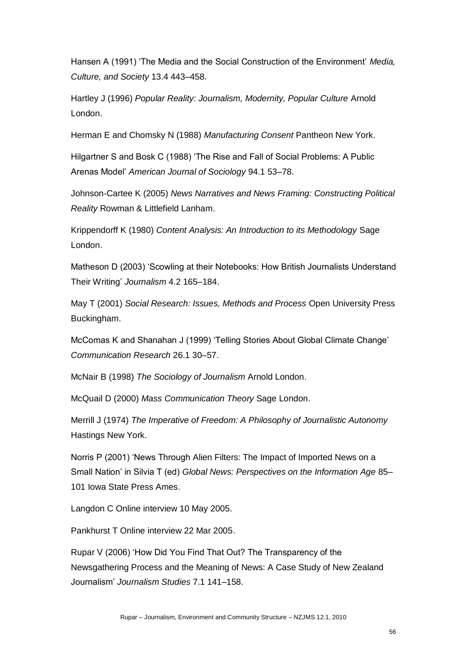Hansen A (1991) 'The Media and the Social Construction of the Environment' *Media*, *Culture, and Society* 13.4 443–458.

Hartley J (1996) *Popular Reality: Journalism, Modernity, Popular Culture* Arnold London.

Herman E and Chomsky N (1988) *Manufacturing Consent* Pantheon New York.

Hilgartner S and Bosk C (1988) 'The Rise and Fall of Social Problems: A Public Arenas Model' *American Journal of Sociology* 94.1 53–78.

Johnson-Cartee K (2005) *News Narratives and News Framing: Constructing Political Reality* Rowman & Littlefield Lanham.

Krippendorff K (1980) *Content Analysis: An Introduction to its Methodology* Sage London.

Matheson D (2003) 'Scowling at their Notebooks: How British Journalists Understand Their Writing' *Journalism* 4.2 165–184.

May T (2001) *Social Research: Issues, Methods and Process* Open University Press Buckingham.

McComas K and Shanahan J (1999) 'Telling Stories About Global Climate Change' *Communication Research* 26.1 30–57.

McNair B (1998) *The Sociology of Journalism* Arnold London.

McQuail D (2000) *Mass Communication Theory* Sage London.

Merrill J (1974) *The Imperative of Freedom: A Philosophy of Journalistic Autonomy* Hastings New York.

Norris P (2001) 'News Through Alien Filters: The Impact of Imported News on a Small Nation' in Silvia T (ed) *Global News: Perspectives on the Information Age* 85– 101 Iowa State Press Ames.

Langdon C Online interview 10 May 2005.

Pankhurst T Online interview 22 Mar 2005.

Rupar V (2006) 'How Did You Find That Out? The Transparency of the Newsgathering Process and the Meaning of News: A Case Study of New Zealand Journalism' *Journalism Studies* 7.1 141–158.